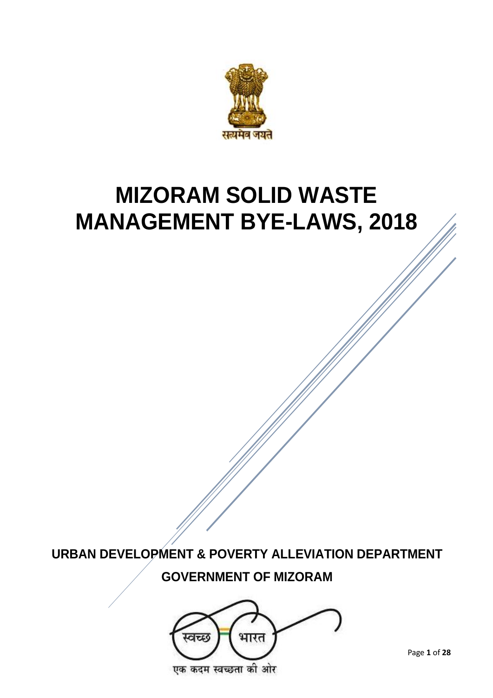

# **MIZORAM SOLID WASTE MANAGEMENT BYE-LAWS, 2018**

**URBAN DEVELOPMENT & POVERTY ALLEVIATION DEPARTMENT GOVERNMENT OF MIZORAM**

भारत स्वच्छ एक कदम स्वच्छता की ओर

Page **1** of **28**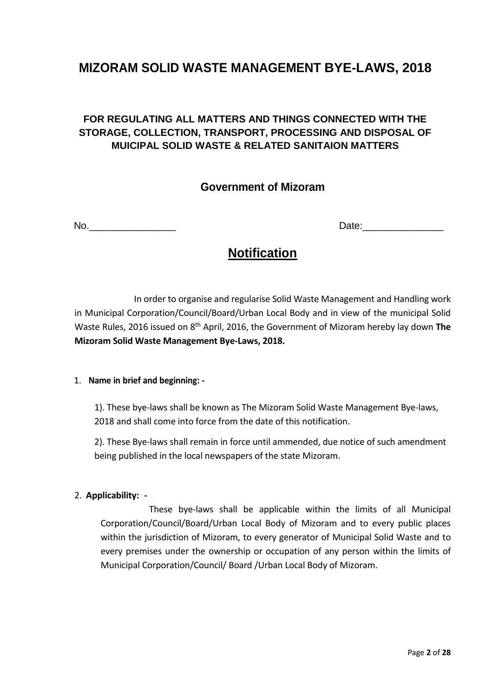# **MIZORAM SOLID WASTE MANAGEMENT BYE-LAWS, 2018**

# **FOR REGULATING ALL MATTERS AND THINGS CONNECTED WITH THE STORAGE, COLLECTION, TRANSPORT, PROCESSING AND DISPOSAL OF MUICIPAL SOLID WASTE & RELATED SANITAION MATTERS**

# **Government of Mizoram**

No.\_\_\_\_\_\_\_\_\_\_\_\_\_\_\_\_ Date:\_\_\_\_\_\_\_\_\_\_\_\_\_\_\_

# **Notification**

In order to organise and regularise Solid Waste Management and Handling work in Municipal Corporation/Council/Board/Urban Local Body and in view of the municipal Solid Waste Rules, 2016 issued on 8th April, 2016, the Government of Mizoram hereby lay down **The Mizoram Solid Waste Management Bye-Laws, 2018.**

## 1. **Name in brief and beginning: -**

1). These bye-laws shall be known as The Mizoram Solid Waste Management Bye-laws, 2018 and shall come into force from the date of this notification.

2). These Bye-laws shall remain in force until ammended, due notice of such amendment being published in the local newspapers of the state Mizoram.

#### 2. **Applicability: -**

These bye-laws shall be applicable within the limits of all Municipal Corporation/Council/Board/Urban Local Body of Mizoram and to every public places within the jurisdiction of Mizoram, to every generator of Municipal Solid Waste and to every premises under the ownership or occupation of any person within the limits of Municipal Corporation/Council/ Board /Urban Local Body of Mizoram.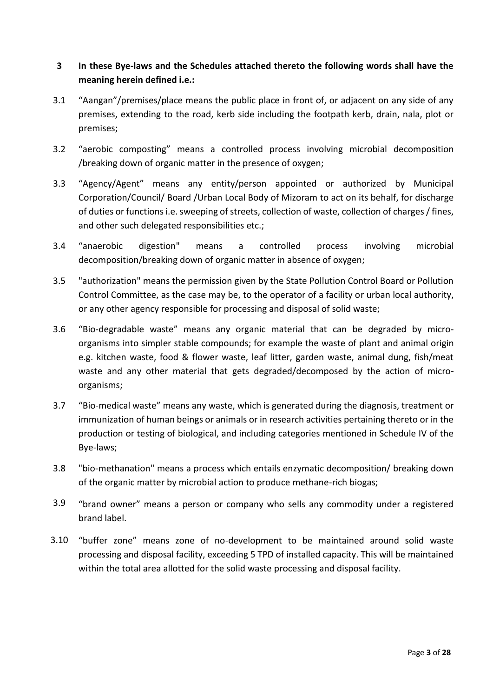# **3 In these Bye-laws and the Schedules attached thereto the following words shall have the meaning herein defined i.e.:**

- 3.1 "Aangan"/premises/place means the public place in front of, or adjacent on any side of any premises, extending to the road, kerb side including the footpath kerb, drain, nala, plot or premises;
- 3.2 "aerobic composting" means a controlled process involving microbial decomposition /breaking down of organic matter in the presence of oxygen;
- 3.3 "Agency/Agent" means any entity/person appointed or authorized by Municipal Corporation/Council/ Board /Urban Local Body of Mizoram to act on its behalf, for discharge of duties or functions i.e. sweeping of streets, collection of waste, collection of charges / fines, and other such delegated responsibilities etc.;
- 3.4 "anaerobic digestion" means a controlled process involving microbial decomposition/breaking down of organic matter in absence of oxygen;
- 3.5 "authorization" means the permission given by the State Pollution Control Board or Pollution Control Committee, as the case may be, to the operator of a facility or urban local authority, or any other agency responsible for processing and disposal of solid waste;
- 3.6 "Bio-degradable waste" means any organic material that can be degraded by microorganisms into simpler stable compounds; for example the waste of plant and animal origin e.g. kitchen waste, food & flower waste, leaf litter, garden waste, animal dung, fish/meat waste and any other material that gets degraded/decomposed by the action of microorganisms;
- 3.7 "Bio-medical waste" means any waste, which is generated during the diagnosis, treatment or immunization of human beings or animals or in research activities pertaining thereto or in the production or testing of biological, and including categories mentioned in Schedule IV of the Bye-laws;
- 3.8 "bio-methanation" means a process which entails enzymatic decomposition/ breaking down of the organic matter by microbial action to produce methane-rich biogas;
- 3.9 "brand owner" means a person or company who sells any commodity under a registered brand label.
- 3.10 "buffer zone" means zone of no-development to be maintained around solid waste processing and disposal facility, exceeding 5 TPD of installed capacity. This will be maintained within the total area allotted for the solid waste processing and disposal facility.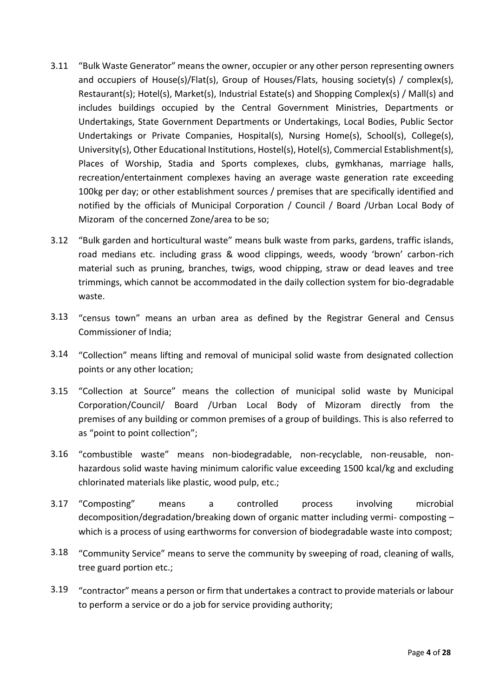- 3.11 "Bulk Waste Generator" means the owner, occupier or any other person representing owners and occupiers of House(s)/Flat(s), Group of Houses/Flats, housing society(s) / complex(s), Restaurant(s); Hotel(s), Market(s), Industrial Estate(s) and Shopping Complex(s) / Mall(s) and includes buildings occupied by the Central Government Ministries, Departments or Undertakings, State Government Departments or Undertakings, Local Bodies, Public Sector Undertakings or Private Companies, Hospital(s), Nursing Home(s), School(s), College(s), University(s), Other Educational Institutions, Hostel(s), Hotel(s), Commercial Establishment(s), Places of Worship, Stadia and Sports complexes, clubs, gymkhanas, marriage halls, recreation/entertainment complexes having an average waste generation rate exceeding 100kg per day; or other establishment sources / premises that are specifically identified and notified by the officials of Municipal Corporation / Council / Board /Urban Local Body of Mizoram of the concerned Zone/area to be so;
- 3.12 "Bulk garden and horticultural waste" means bulk waste from parks, gardens, traffic islands, road medians etc. including grass & wood clippings, weeds, woody 'brown' carbon-rich material such as pruning, branches, twigs, wood chipping, straw or dead leaves and tree trimmings, which cannot be accommodated in the daily collection system for bio-degradable waste.
- 3.13 "census town" means an urban area as defined by the Registrar General and Census Commissioner of India;
- 3.14 "Collection" means lifting and removal of municipal solid waste from designated collection points or any other location;
- 3.15 "Collection at Source" means the collection of municipal solid waste by Municipal Corporation/Council/ Board /Urban Local Body of Mizoram directly from the premises of any building or common premises of a group of buildings. This is also referred to as "point to point collection";
- 3.16 "combustible waste" means non-biodegradable, non-recyclable, non-reusable, nonhazardous solid waste having minimum calorific value exceeding 1500 kcal/kg and excluding chlorinated materials like plastic, wood pulp, etc.;
- 3.17 "Composting" means a controlled process involving microbial decomposition/degradation/breaking down of organic matter including vermi- composting – which is a process of using earthworms for conversion of biodegradable waste into compost;
- 3.18 "Community Service" means to serve the community by sweeping of road, cleaning of walls, tree guard portion etc.;
- 3.19 "contractor" means a person or firm that undertakes a contract to provide materials or labour to perform a service or do a job for service providing authority;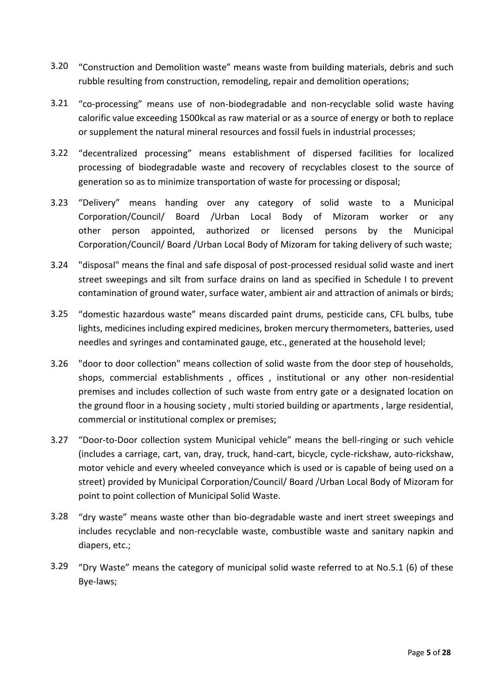- 3.20 "Construction and Demolition waste" means waste from building materials, debris and such rubble resulting from construction, remodeling, repair and demolition operations;
- 3.21 "co-processing" means use of non-biodegradable and non-recyclable solid waste having calorific value exceeding 1500kcal as raw material or as a source of energy or both to replace or supplement the natural mineral resources and fossil fuels in industrial processes;
- 3.22 "decentralized processing" means establishment of dispersed facilities for localized processing of biodegradable waste and recovery of recyclables closest to the source of generation so as to minimize transportation of waste for processing or disposal;
- 3.23 "Delivery" means handing over any category of solid waste to a Municipal Corporation/Council/ Board /Urban Local Body of Mizoram worker or any other person appointed, authorized or licensed persons by the Municipal Corporation/Council/ Board /Urban Local Body of Mizoram for taking delivery of such waste;
- 3.24 "disposal" means the final and safe disposal of post-processed residual solid waste and inert street sweepings and silt from surface drains on land as specified in Schedule I to prevent contamination of ground water, surface water, ambient air and attraction of animals or birds;
- 3.25 "domestic hazardous waste" means discarded paint drums, pesticide cans, CFL bulbs, tube lights, medicines including expired medicines, broken mercury thermometers, batteries, used needles and syringes and contaminated gauge, etc., generated at the household level;
- 3.26 "door to door collection" means collection of solid waste from the door step of households, shops, commercial establishments , offices , institutional or any other non-residential premises and includes collection of such waste from entry gate or a designated location on the ground floor in a housing society , multi storied building or apartments , large residential, commercial or institutional complex or premises;
- 3.27 "Door-to-Door collection system Municipal vehicle" means the bell-ringing or such vehicle (includes a carriage, cart, van, dray, truck, hand-cart, bicycle, cycle-rickshaw, auto-rickshaw, motor vehicle and every wheeled conveyance which is used or is capable of being used on a street) provided by Municipal Corporation/Council/ Board /Urban Local Body of Mizoram for point to point collection of Municipal Solid Waste.
- 3.28 "dry waste" means waste other than bio-degradable waste and inert street sweepings and includes recyclable and non-recyclable waste, combustible waste and sanitary napkin and diapers, etc.;
- 3.29 "Dry Waste" means the category of municipal solid waste referred to at No.5.1 (6) of these Bye-laws;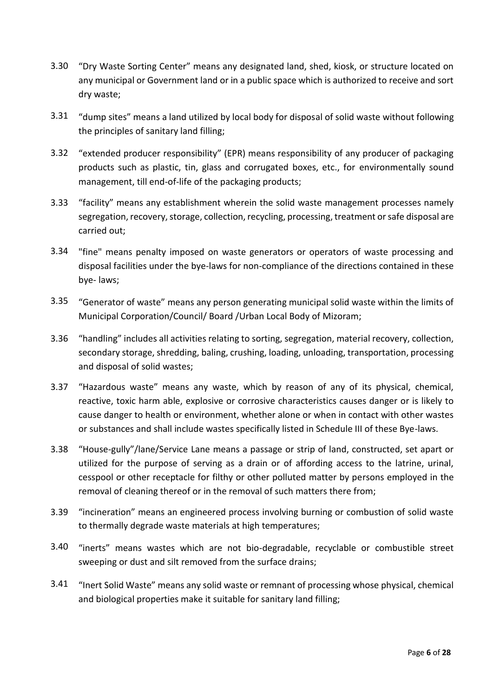- 3.30 "Dry Waste Sorting Center" means any designated land, shed, kiosk, or structure located on any municipal or Government land or in a public space which is authorized to receive and sort dry waste;
- 3.31 "dump sites" means a land utilized by local body for disposal of solid waste without following the principles of sanitary land filling;
- 3.32 "extended producer responsibility" (EPR) means responsibility of any producer of packaging products such as plastic, tin, glass and corrugated boxes, etc., for environmentally sound management, till end-of-life of the packaging products;
- 3.33 "facility" means any establishment wherein the solid waste management processes namely segregation, recovery, storage, collection, recycling, processing, treatment or safe disposal are carried out;
- 3.34 "fine" means penalty imposed on waste generators or operators of waste processing and disposal facilities under the bye-laws for non-compliance of the directions contained in these bye- laws;
- 3.35 "Generator of waste" means any person generating municipal solid waste within the limits of Municipal Corporation/Council/ Board /Urban Local Body of Mizoram;
- 3.36 "handling" includes all activities relating to sorting, segregation, material recovery, collection, secondary storage, shredding, baling, crushing, loading, unloading, transportation, processing and disposal of solid wastes;
- 3.37 "Hazardous waste" means any waste, which by reason of any of its physical, chemical, reactive, toxic harm able, explosive or corrosive characteristics causes danger or is likely to cause danger to health or environment, whether alone or when in contact with other wastes or substances and shall include wastes specifically listed in Schedule III of these Bye-laws.
- 3.38 "House-gully"/lane/Service Lane means a passage or strip of land, constructed, set apart or utilized for the purpose of serving as a drain or of affording access to the latrine, urinal, cesspool or other receptacle for filthy or other polluted matter by persons employed in the removal of cleaning thereof or in the removal of such matters there from;
- 3.39 "incineration" means an engineered process involving burning or combustion of solid waste to thermally degrade waste materials at high temperatures;
- 3.40 "inerts" means wastes which are not bio-degradable, recyclable or combustible street sweeping or dust and silt removed from the surface drains;
- 3.41 "Inert Solid Waste" means any solid waste or remnant of processing whose physical, chemical and biological properties make it suitable for sanitary land filling;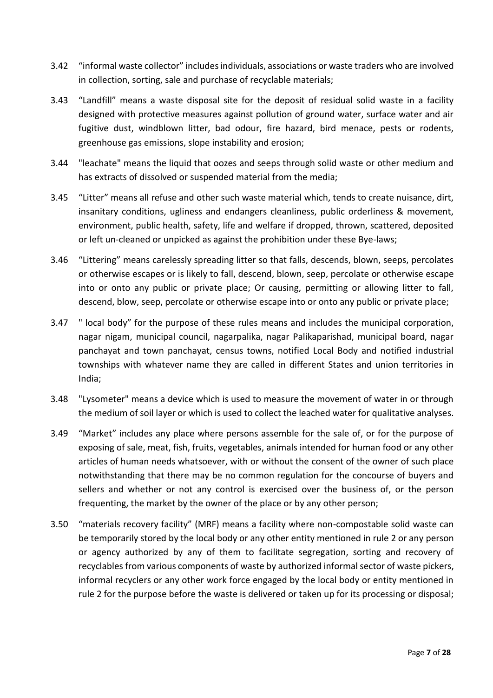- 3.42 "informal waste collector" includes individuals, associations or waste traders who are involved in collection, sorting, sale and purchase of recyclable materials;
- 3.43 "Landfill" means a waste disposal site for the deposit of residual solid waste in a facility designed with protective measures against pollution of ground water, surface water and air fugitive dust, windblown litter, bad odour, fire hazard, bird menace, pests or rodents, greenhouse gas emissions, slope instability and erosion;
- 3.44 "leachate" means the liquid that oozes and seeps through solid waste or other medium and has extracts of dissolved or suspended material from the media;
- 3.45 "Litter" means all refuse and other such waste material which, tends to create nuisance, dirt, insanitary conditions, ugliness and endangers cleanliness, public orderliness & movement, environment, public health, safety, life and welfare if dropped, thrown, scattered, deposited or left un-cleaned or unpicked as against the prohibition under these Bye-laws;
- 3.46 "Littering" means carelessly spreading litter so that falls, descends, blown, seeps, percolates or otherwise escapes or is likely to fall, descend, blown, seep, percolate or otherwise escape into or onto any public or private place; Or causing, permitting or allowing litter to fall, descend, blow, seep, percolate or otherwise escape into or onto any public or private place;
- 3.47 " local body" for the purpose of these rules means and includes the municipal corporation, nagar nigam, municipal council, nagarpalika, nagar Palikaparishad, municipal board, nagar panchayat and town panchayat, census towns, notified Local Body and notified industrial townships with whatever name they are called in different States and union territories in India;
- 3.48 "Lysometer" means a device which is used to measure the movement of water in or through the medium of soil layer or which is used to collect the leached water for qualitative analyses.
- 3.49 "Market" includes any place where persons assemble for the sale of, or for the purpose of exposing of sale, meat, fish, fruits, vegetables, animals intended for human food or any other articles of human needs whatsoever, with or without the consent of the owner of such place notwithstanding that there may be no common regulation for the concourse of buyers and sellers and whether or not any control is exercised over the business of, or the person frequenting, the market by the owner of the place or by any other person;
- 3.50 "materials recovery facility" (MRF) means a facility where non-compostable solid waste can be temporarily stored by the local body or any other entity mentioned in rule 2 or any person or agency authorized by any of them to facilitate segregation, sorting and recovery of recyclables from various components of waste by authorized informal sector of waste pickers, informal recyclers or any other work force engaged by the local body or entity mentioned in rule 2 for the purpose before the waste is delivered or taken up for its processing or disposal;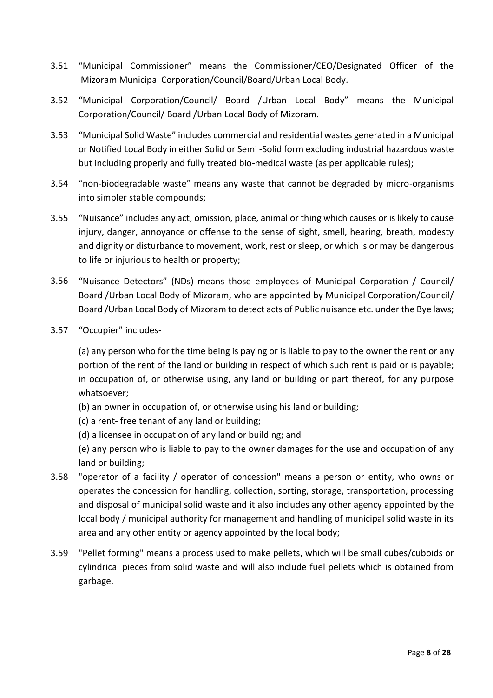- 3.51 "Municipal Commissioner" means the Commissioner/CEO/Designated Officer of the Mizoram Municipal Corporation/Council/Board/Urban Local Body.
- 3.52 "Municipal Corporation/Council/ Board /Urban Local Body" means the Municipal Corporation/Council/ Board /Urban Local Body of Mizoram.
- 3.53 "Municipal Solid Waste" includes commercial and residential wastes generated in a Municipal or Notified Local Body in either Solid or Semi -Solid form excluding industrial hazardous waste but including properly and fully treated bio-medical waste (as per applicable rules);
- 3.54 "non-biodegradable waste" means any waste that cannot be degraded by micro-organisms into simpler stable compounds;
- 3.55 "Nuisance" includes any act, omission, place, animal or thing which causes or is likely to cause injury, danger, annoyance or offense to the sense of sight, smell, hearing, breath, modesty and dignity or disturbance to movement, work, rest or sleep, or which is or may be dangerous to life or injurious to health or property;
- 3.56 "Nuisance Detectors" (NDs) means those employees of Municipal Corporation / Council/ Board /Urban Local Body of Mizoram, who are appointed by Municipal Corporation/Council/ Board /Urban Local Body of Mizoram to detect acts of Public nuisance etc. under the Bye laws;
- 3.57 "Occupier" includes-

(a) any person who for the time being is paying or is liable to pay to the owner the rent or any portion of the rent of the land or building in respect of which such rent is paid or is payable; in occupation of, or otherwise using, any land or building or part thereof, for any purpose whatsoever;

- (b) an owner in occupation of, or otherwise using his land or building;
- (c) a rent- free tenant of any land or building;
- (d) a licensee in occupation of any land or building; and

(e) any person who is liable to pay to the owner damages for the use and occupation of any land or building;

- 3.58 "operator of a facility / operator of concession" means a person or entity, who owns or operates the concession for handling, collection, sorting, storage, transportation, processing and disposal of municipal solid waste and it also includes any other agency appointed by the local body / municipal authority for management and handling of municipal solid waste in its area and any other entity or agency appointed by the local body;
- 3.59 "Pellet forming" means a process used to make pellets, which will be small cubes/cuboids or cylindrical pieces from solid waste and will also include fuel pellets which is obtained from garbage.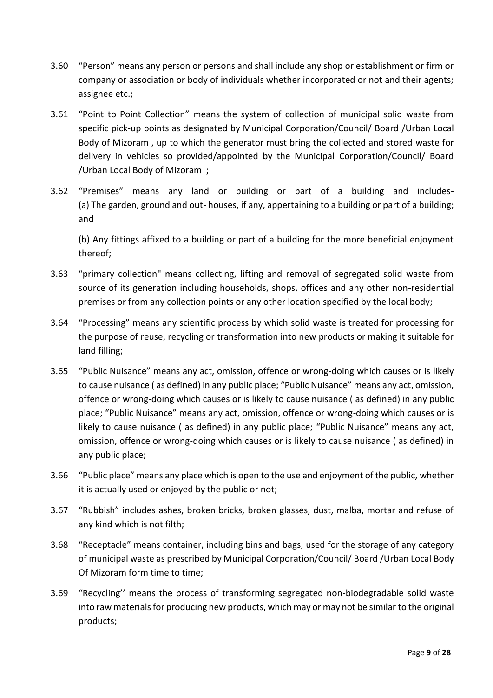- 3.60 "Person" means any person or persons and shall include any shop or establishment or firm or company or association or body of individuals whether incorporated or not and their agents; assignee etc.;
- 3.61 "Point to Point Collection" means the system of collection of municipal solid waste from specific pick-up points as designated by Municipal Corporation/Council/ Board /Urban Local Body of Mizoram , up to which the generator must bring the collected and stored waste for delivery in vehicles so provided/appointed by the Municipal Corporation/Council/ Board /Urban Local Body of Mizoram ;
- 3.62 "Premises" means any land or building or part of a building and includes- (a) The garden, ground and out- houses, if any, appertaining to a building or part of a building; and

(b) Any fittings affixed to a building or part of a building for the more beneficial enjoyment thereof;

- 3.63 "primary collection" means collecting, lifting and removal of segregated solid waste from source of its generation including households, shops, offices and any other non-residential premises or from any collection points or any other location specified by the local body;
- 3.64 "Processing" means any scientific process by which solid waste is treated for processing for the purpose of reuse, recycling or transformation into new products or making it suitable for land filling;
- 3.65 "Public Nuisance" means any act, omission, offence or wrong-doing which causes or is likely to cause nuisance ( as defined) in any public place; "Public Nuisance" means any act, omission, offence or wrong-doing which causes or is likely to cause nuisance ( as defined) in any public place; "Public Nuisance" means any act, omission, offence or wrong-doing which causes or is likely to cause nuisance ( as defined) in any public place; "Public Nuisance" means any act, omission, offence or wrong-doing which causes or is likely to cause nuisance ( as defined) in any public place;
- 3.66 "Public place" means any place which is open to the use and enjoyment of the public, whether it is actually used or enjoyed by the public or not;
- 3.67 "Rubbish" includes ashes, broken bricks, broken glasses, dust, malba, mortar and refuse of any kind which is not filth;
- 3.68 "Receptacle" means container, including bins and bags, used for the storage of any category of municipal waste as prescribed by Municipal Corporation/Council/ Board /Urban Local Body Of Mizoram form time to time;
- 3.69 "Recycling'' means the process of transforming segregated non-biodegradable solid waste into raw materials for producing new products, which may or may not be similar to the original products;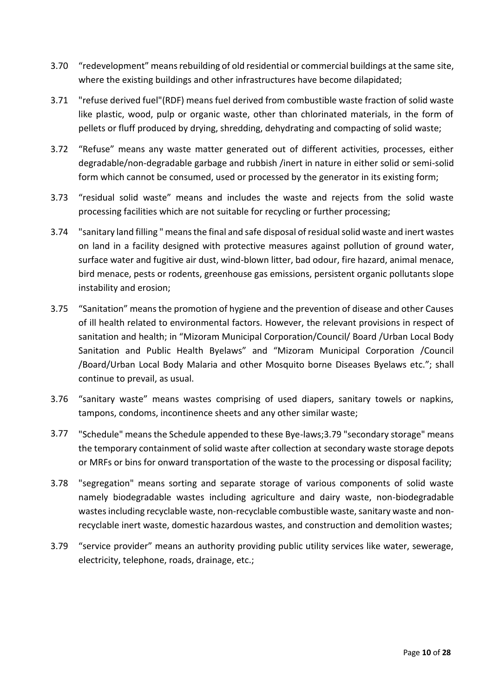- 3.70 "redevelopment" means rebuilding of old residential or commercial buildings at the same site, where the existing buildings and other infrastructures have become dilapidated;
- 3.71 "refuse derived fuel"(RDF) means fuel derived from combustible waste fraction of solid waste like plastic, wood, pulp or organic waste, other than chlorinated materials, in the form of pellets or fluff produced by drying, shredding, dehydrating and compacting of solid waste;
- 3.72 "Refuse" means any waste matter generated out of different activities, processes, either degradable/non-degradable garbage and rubbish /inert in nature in either solid or semi-solid form which cannot be consumed, used or processed by the generator in its existing form;
- 3.73 "residual solid waste" means and includes the waste and rejects from the solid waste processing facilities which are not suitable for recycling or further processing;
- 3.74 "sanitary land filling " means the final and safe disposal of residual solid waste and inert wastes on land in a facility designed with protective measures against pollution of ground water, surface water and fugitive air dust, wind-blown litter, bad odour, fire hazard, animal menace, bird menace, pests or rodents, greenhouse gas emissions, persistent organic pollutants slope instability and erosion;
- 3.75 "Sanitation" means the promotion of hygiene and the prevention of disease and other Causes of ill health related to environmental factors. However, the relevant provisions in respect of sanitation and health; in "Mizoram Municipal Corporation/Council/ Board /Urban Local Body Sanitation and Public Health Byelaws" and "Mizoram Municipal Corporation /Council /Board/Urban Local Body Malaria and other Mosquito borne Diseases Byelaws etc."; shall continue to prevail, as usual.
- 3.76 "sanitary waste" means wastes comprising of used diapers, sanitary towels or napkins, tampons, condoms, incontinence sheets and any other similar waste;
- 3.77 "Schedule" means the Schedule appended to these Bye-laws;3.79 "secondary storage" means the temporary containment of solid waste after collection at secondary waste storage depots or MRFs or bins for onward transportation of the waste to the processing or disposal facility;
- 3.78 "segregation" means sorting and separate storage of various components of solid waste namely biodegradable wastes including agriculture and dairy waste, non-biodegradable wastes including recyclable waste, non-recyclable combustible waste, sanitary waste and nonrecyclable inert waste, domestic hazardous wastes, and construction and demolition wastes;
- 3.79 "service provider" means an authority providing public utility services like water, sewerage, electricity, telephone, roads, drainage, etc.;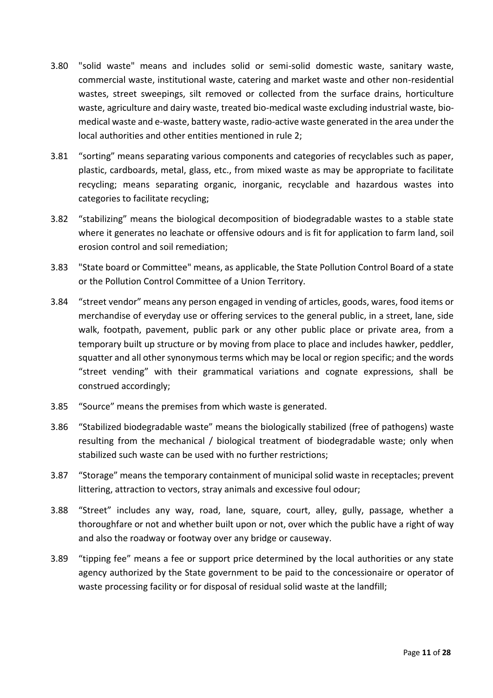- 3.80 "solid waste" means and includes solid or semi-solid domestic waste, sanitary waste, commercial waste, institutional waste, catering and market waste and other non-residential wastes, street sweepings, silt removed or collected from the surface drains, horticulture waste, agriculture and dairy waste, treated bio-medical waste excluding industrial waste, biomedical waste and e-waste, battery waste, radio-active waste generated in the area under the local authorities and other entities mentioned in rule 2;
- 3.81 "sorting" means separating various components and categories of recyclables such as paper, plastic, cardboards, metal, glass, etc., from mixed waste as may be appropriate to facilitate recycling; means separating organic, inorganic, recyclable and hazardous wastes into categories to facilitate recycling;
- 3.82 "stabilizing" means the biological decomposition of biodegradable wastes to a stable state where it generates no leachate or offensive odours and is fit for application to farm land, soil erosion control and soil remediation;
- 3.83 "State board or Committee" means, as applicable, the State Pollution Control Board of a state or the Pollution Control Committee of a Union Territory.
- 3.84 "street vendor" means any person engaged in vending of articles, goods, wares, food items or merchandise of everyday use or offering services to the general public, in a street, lane, side walk, footpath, pavement, public park or any other public place or private area, from a temporary built up structure or by moving from place to place and includes hawker, peddler, squatter and all other synonymous terms which may be local or region specific; and the words "street vending" with their grammatical variations and cognate expressions, shall be construed accordingly;
- 3.85 "Source" means the premises from which waste is generated.
- 3.86 "Stabilized biodegradable waste" means the biologically stabilized (free of pathogens) waste resulting from the mechanical / biological treatment of biodegradable waste; only when stabilized such waste can be used with no further restrictions;
- 3.87 "Storage" means the temporary containment of municipal solid waste in receptacles; prevent littering, attraction to vectors, stray animals and excessive foul odour;
- 3.88 "Street" includes any way, road, lane, square, court, alley, gully, passage, whether a thoroughfare or not and whether built upon or not, over which the public have a right of way and also the roadway or footway over any bridge or causeway.
- 3.89 "tipping fee" means a fee or support price determined by the local authorities or any state agency authorized by the State government to be paid to the concessionaire or operator of waste processing facility or for disposal of residual solid waste at the landfill;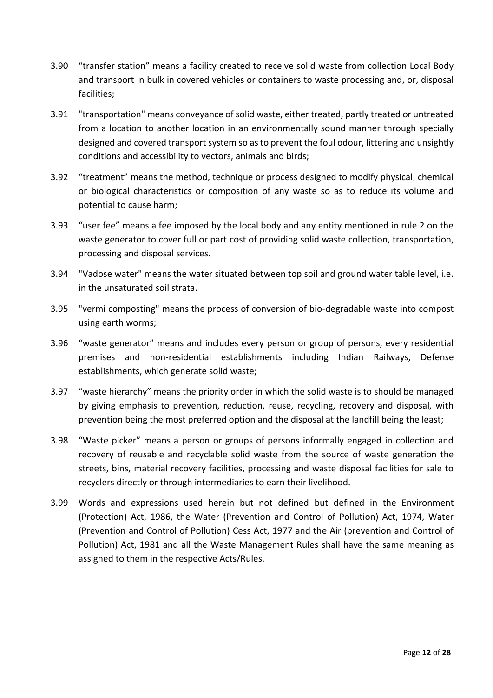- 3.90 "transfer station" means a facility created to receive solid waste from collection Local Body and transport in bulk in covered vehicles or containers to waste processing and, or, disposal facilities;
- 3.91 "transportation" means conveyance of solid waste, either treated, partly treated or untreated from a location to another location in an environmentally sound manner through specially designed and covered transport system so as to prevent the foul odour, littering and unsightly conditions and accessibility to vectors, animals and birds;
- 3.92 "treatment" means the method, technique or process designed to modify physical, chemical or biological characteristics or composition of any waste so as to reduce its volume and potential to cause harm;
- 3.93 "user fee" means a fee imposed by the local body and any entity mentioned in rule 2 on the waste generator to cover full or part cost of providing solid waste collection, transportation, processing and disposal services.
- 3.94 "Vadose water" means the water situated between top soil and ground water table level, i.e. in the unsaturated soil strata.
- 3.95 "vermi composting" means the process of conversion of bio-degradable waste into compost using earth worms;
- 3.96 "waste generator" means and includes every person or group of persons, every residential premises and non-residential establishments including Indian Railways, Defense establishments, which generate solid waste;
- 3.97 "waste hierarchy" means the priority order in which the solid waste is to should be managed by giving emphasis to prevention, reduction, reuse, recycling, recovery and disposal, with prevention being the most preferred option and the disposal at the landfill being the least;
- 3.98 "Waste picker" means a person or groups of persons informally engaged in collection and recovery of reusable and recyclable solid waste from the source of waste generation the streets, bins, material recovery facilities, processing and waste disposal facilities for sale to recyclers directly or through intermediaries to earn their livelihood.
- 3.99 Words and expressions used herein but not defined but defined in the Environment (Protection) Act, 1986, the Water (Prevention and Control of Pollution) Act, 1974, Water (Prevention and Control of Pollution) Cess Act, 1977 and the Air (prevention and Control of Pollution) Act, 1981 and all the Waste Management Rules shall have the same meaning as assigned to them in the respective Acts/Rules.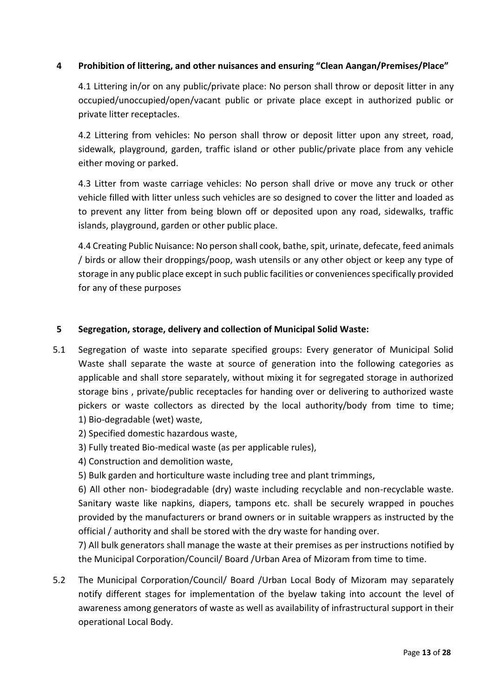## **4 Prohibition of littering, and other nuisances and ensuring "Clean Aangan/Premises/Place"**

4.1 Littering in/or on any public/private place: No person shall throw or deposit litter in any occupied/unoccupied/open/vacant public or private place except in authorized public or private litter receptacles.

4.2 Littering from vehicles: No person shall throw or deposit litter upon any street, road, sidewalk, playground, garden, traffic island or other public/private place from any vehicle either moving or parked.

4.3 Litter from waste carriage vehicles: No person shall drive or move any truck or other vehicle filled with litter unless such vehicles are so designed to cover the litter and loaded as to prevent any litter from being blown off or deposited upon any road, sidewalks, traffic islands, playground, garden or other public place.

4.4 Creating Public Nuisance: No person shall cook, bathe, spit, urinate, defecate, feed animals / birds or allow their droppings/poop, wash utensils or any other object or keep any type of storage in any public place except in such public facilities or conveniences specifically provided for any of these purposes

#### **5 Segregation, storage, delivery and collection of Municipal Solid Waste:**

- 5.1 Segregation of waste into separate specified groups: Every generator of Municipal Solid Waste shall separate the waste at source of generation into the following categories as applicable and shall store separately, without mixing it for segregated storage in authorized storage bins , private/public receptacles for handing over or delivering to authorized waste pickers or waste collectors as directed by the local authority/body from time to time; 1) Bio-degradable (wet) waste,
	- 2) Specified domestic hazardous waste,
	- 3) Fully treated Bio-medical waste (as per applicable rules),
	- 4) Construction and demolition waste,
	- 5) Bulk garden and horticulture waste including tree and plant trimmings,

6) All other non- biodegradable (dry) waste including recyclable and non-recyclable waste. Sanitary waste like napkins, diapers, tampons etc. shall be securely wrapped in pouches provided by the manufacturers or brand owners or in suitable wrappers as instructed by the official / authority and shall be stored with the dry waste for handing over.

7) All bulk generators shall manage the waste at their premises as per instructions notified by the Municipal Corporation/Council/ Board /Urban Area of Mizoram from time to time.

5.2 The Municipal Corporation/Council/ Board /Urban Local Body of Mizoram may separately notify different stages for implementation of the byelaw taking into account the level of awareness among generators of waste as well as availability of infrastructural support in their operational Local Body.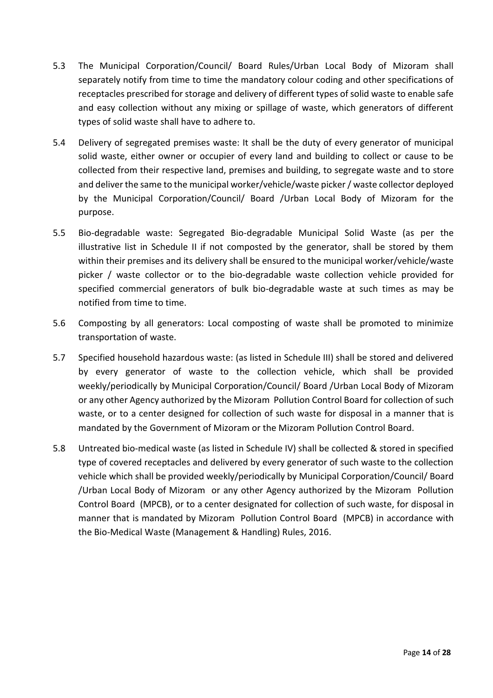- 5.3 The Municipal Corporation/Council/ Board Rules/Urban Local Body of Mizoram shall separately notify from time to time the mandatory colour coding and other specifications of receptacles prescribed for storage and delivery of different types of solid waste to enable safe and easy collection without any mixing or spillage of waste, which generators of different types of solid waste shall have to adhere to.
- 5.4 Delivery of segregated premises waste: It shall be the duty of every generator of municipal solid waste, either owner or occupier of every land and building to collect or cause to be collected from their respective land, premises and building, to segregate waste and to store and deliver the same to the municipal worker/vehicle/waste picker / waste collector deployed by the Municipal Corporation/Council/ Board /Urban Local Body of Mizoram for the purpose.
- 5.5 Bio-degradable waste: Segregated Bio-degradable Municipal Solid Waste (as per the illustrative list in Schedule II if not composted by the generator, shall be stored by them within their premises and its delivery shall be ensured to the municipal worker/vehicle/waste picker / waste collector or to the bio-degradable waste collection vehicle provided for specified commercial generators of bulk bio-degradable waste at such times as may be notified from time to time.
- 5.6 Composting by all generators: Local composting of waste shall be promoted to minimize transportation of waste.
- 5.7 Specified household hazardous waste: (as listed in Schedule III) shall be stored and delivered by every generator of waste to the collection vehicle, which shall be provided weekly/periodically by Municipal Corporation/Council/ Board /Urban Local Body of Mizoram or any other Agency authorized by the Mizoram Pollution Control Board for collection of such waste, or to a center designed for collection of such waste for disposal in a manner that is mandated by the Government of Mizoram or the Mizoram Pollution Control Board.
- 5.8 Untreated bio-medical waste (as listed in Schedule IV) shall be collected & stored in specified type of covered receptacles and delivered by every generator of such waste to the collection vehicle which shall be provided weekly/periodically by Municipal Corporation/Council/ Board /Urban Local Body of Mizoram or any other Agency authorized by the Mizoram Pollution Control Board (MPCB), or to a center designated for collection of such waste, for disposal in manner that is mandated by Mizoram Pollution Control Board (MPCB) in accordance with the Bio-Medical Waste (Management & Handling) Rules, 2016.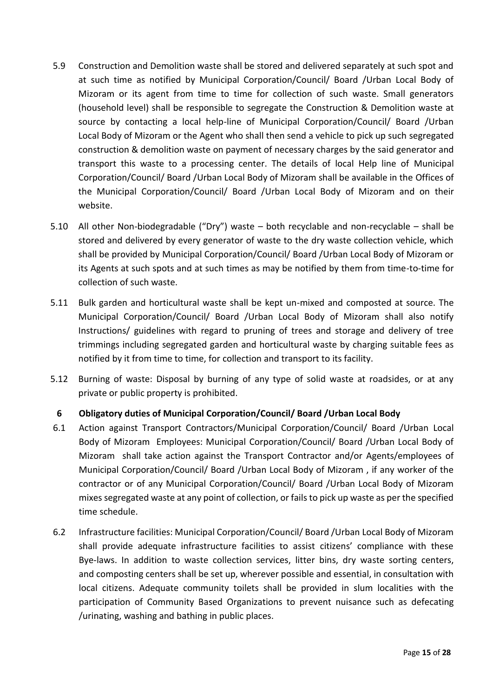- 5.9 Construction and Demolition waste shall be stored and delivered separately at such spot and at such time as notified by Municipal Corporation/Council/ Board /Urban Local Body of Mizoram or its agent from time to time for collection of such waste. Small generators (household level) shall be responsible to segregate the Construction & Demolition waste at source by contacting a local help-line of Municipal Corporation/Council/ Board /Urban Local Body of Mizoram or the Agent who shall then send a vehicle to pick up such segregated construction & demolition waste on payment of necessary charges by the said generator and transport this waste to a processing center. The details of local Help line of Municipal Corporation/Council/ Board /Urban Local Body of Mizoram shall be available in the Offices of the Municipal Corporation/Council/ Board /Urban Local Body of Mizoram and on their website.
- 5.10 All other Non-biodegradable ("Dry") waste both recyclable and non-recyclable shall be stored and delivered by every generator of waste to the dry waste collection vehicle, which shall be provided by Municipal Corporation/Council/ Board /Urban Local Body of Mizoram or its Agents at such spots and at such times as may be notified by them from time-to-time for collection of such waste.
- 5.11 Bulk garden and horticultural waste shall be kept un-mixed and composted at source. The Municipal Corporation/Council/ Board /Urban Local Body of Mizoram shall also notify Instructions/ guidelines with regard to pruning of trees and storage and delivery of tree trimmings including segregated garden and horticultural waste by charging suitable fees as notified by it from time to time, for collection and transport to its facility.
- 5.12 Burning of waste: Disposal by burning of any type of solid waste at roadsides, or at any private or public property is prohibited.

## **6 Obligatory duties of Municipal Corporation/Council/ Board /Urban Local Body**

- 6.1 Action against Transport Contractors/Municipal Corporation/Council/ Board /Urban Local Body of Mizoram Employees: Municipal Corporation/Council/ Board /Urban Local Body of Mizoram shall take action against the Transport Contractor and/or Agents/employees of Municipal Corporation/Council/ Board /Urban Local Body of Mizoram , if any worker of the contractor or of any Municipal Corporation/Council/ Board /Urban Local Body of Mizoram mixes segregated waste at any point of collection, or fails to pick up waste as per the specified time schedule.
- 6.2 Infrastructure facilities: Municipal Corporation/Council/ Board /Urban Local Body of Mizoram shall provide adequate infrastructure facilities to assist citizens' compliance with these Bye-laws. In addition to waste collection services, litter bins, dry waste sorting centers, and composting centers shall be set up, wherever possible and essential, in consultation with local citizens. Adequate community toilets shall be provided in slum localities with the participation of Community Based Organizations to prevent nuisance such as defecating /urinating, washing and bathing in public places.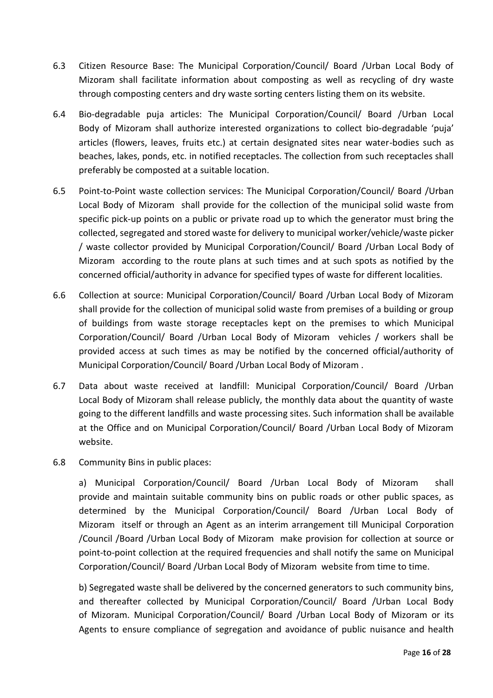- 6.3 Citizen Resource Base: The Municipal Corporation/Council/ Board /Urban Local Body of Mizoram shall facilitate information about composting as well as recycling of dry waste through composting centers and dry waste sorting centers listing them on its website.
- 6.4 Bio-degradable puja articles: The Municipal Corporation/Council/ Board /Urban Local Body of Mizoram shall authorize interested organizations to collect bio-degradable 'puja' articles (flowers, leaves, fruits etc.) at certain designated sites near water-bodies such as beaches, lakes, ponds, etc. in notified receptacles. The collection from such receptacles shall preferably be composted at a suitable location.
- 6.5 Point-to-Point waste collection services: The Municipal Corporation/Council/ Board /Urban Local Body of Mizoram shall provide for the collection of the municipal solid waste from specific pick-up points on a public or private road up to which the generator must bring the collected, segregated and stored waste for delivery to municipal worker/vehicle/waste picker / waste collector provided by Municipal Corporation/Council/ Board /Urban Local Body of Mizoram according to the route plans at such times and at such spots as notified by the concerned official/authority in advance for specified types of waste for different localities.
- 6.6 Collection at source: Municipal Corporation/Council/ Board /Urban Local Body of Mizoram shall provide for the collection of municipal solid waste from premises of a building or group of buildings from waste storage receptacles kept on the premises to which Municipal Corporation/Council/ Board /Urban Local Body of Mizoram vehicles / workers shall be provided access at such times as may be notified by the concerned official/authority of Municipal Corporation/Council/ Board /Urban Local Body of Mizoram .
- 6.7 Data about waste received at landfill: Municipal Corporation/Council/ Board /Urban Local Body of Mizoram shall release publicly, the monthly data about the quantity of waste going to the different landfills and waste processing sites. Such information shall be available at the Office and on Municipal Corporation/Council/ Board /Urban Local Body of Mizoram website.
- 6.8 Community Bins in public places:

a) Municipal Corporation/Council/ Board /Urban Local Body of Mizoram shall provide and maintain suitable community bins on public roads or other public spaces, as determined by the Municipal Corporation/Council/ Board /Urban Local Body of Mizoram itself or through an Agent as an interim arrangement till Municipal Corporation /Council /Board /Urban Local Body of Mizoram make provision for collection at source or point-to-point collection at the required frequencies and shall notify the same on Municipal Corporation/Council/ Board /Urban Local Body of Mizoram website from time to time.

b) Segregated waste shall be delivered by the concerned generators to such community bins, and thereafter collected by Municipal Corporation/Council/ Board /Urban Local Body of Mizoram. Municipal Corporation/Council/ Board /Urban Local Body of Mizoram or its Agents to ensure compliance of segregation and avoidance of public nuisance and health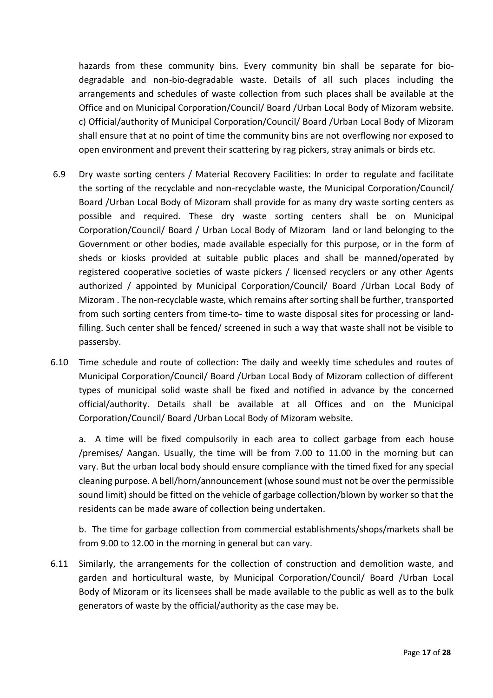hazards from these community bins. Every community bin shall be separate for biodegradable and non-bio-degradable waste. Details of all such places including the arrangements and schedules of waste collection from such places shall be available at the Office and on Municipal Corporation/Council/ Board /Urban Local Body of Mizoram website. c) Official/authority of Municipal Corporation/Council/ Board /Urban Local Body of Mizoram shall ensure that at no point of time the community bins are not overflowing nor exposed to open environment and prevent their scattering by rag pickers, stray animals or birds etc.

- 6.9 Dry waste sorting centers / Material Recovery Facilities: In order to regulate and facilitate the sorting of the recyclable and non-recyclable waste, the Municipal Corporation/Council/ Board /Urban Local Body of Mizoram shall provide for as many dry waste sorting centers as possible and required. These dry waste sorting centers shall be on Municipal Corporation/Council/ Board / Urban Local Body of Mizoram land or land belonging to the Government or other bodies, made available especially for this purpose, or in the form of sheds or kiosks provided at suitable public places and shall be manned/operated by registered cooperative societies of waste pickers / licensed recyclers or any other Agents authorized / appointed by Municipal Corporation/Council/ Board /Urban Local Body of Mizoram . The non-recyclable waste, which remains after sorting shall be further, transported from such sorting centers from time-to- time to waste disposal sites for processing or landfilling. Such center shall be fenced/ screened in such a way that waste shall not be visible to passersby.
- 6.10 Time schedule and route of collection: The daily and weekly time schedules and routes of Municipal Corporation/Council/ Board /Urban Local Body of Mizoram collection of different types of municipal solid waste shall be fixed and notified in advance by the concerned official/authority. Details shall be available at all Offices and on the Municipal Corporation/Council/ Board /Urban Local Body of Mizoram website.

a. A time will be fixed compulsorily in each area to collect garbage from each house /premises/ Aangan. Usually, the time will be from 7.00 to 11.00 in the morning but can vary. But the urban local body should ensure compliance with the timed fixed for any special cleaning purpose. A bell/horn/announcement (whose sound must not be over the permissible sound limit) should be fitted on the vehicle of garbage collection/blown by worker so that the residents can be made aware of collection being undertaken.

b. The time for garbage collection from commercial establishments/shops/markets shall be from 9.00 to 12.00 in the morning in general but can vary.

6.11 Similarly, the arrangements for the collection of construction and demolition waste, and garden and horticultural waste, by Municipal Corporation/Council/ Board /Urban Local Body of Mizoram or its licensees shall be made available to the public as well as to the bulk generators of waste by the official/authority as the case may be.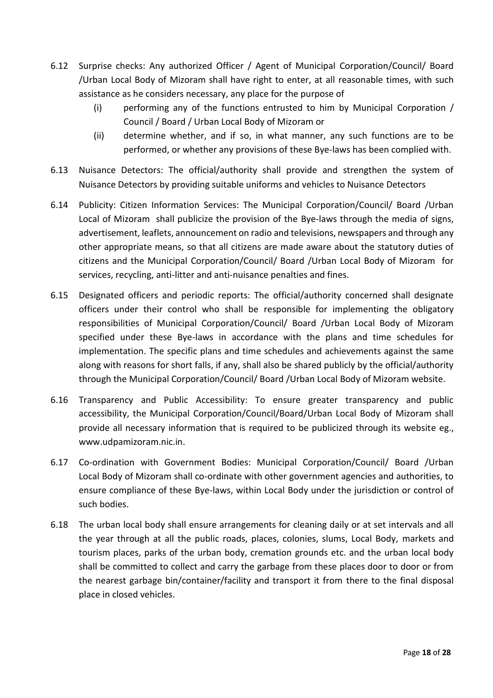- 6.12 Surprise checks: Any authorized Officer / Agent of Municipal Corporation/Council/ Board /Urban Local Body of Mizoram shall have right to enter, at all reasonable times, with such assistance as he considers necessary, any place for the purpose of
	- (i) performing any of the functions entrusted to him by Municipal Corporation / Council / Board / Urban Local Body of Mizoram or
	- (ii) determine whether, and if so, in what manner, any such functions are to be performed, or whether any provisions of these Bye-laws has been complied with.
- 6.13 Nuisance Detectors: The official/authority shall provide and strengthen the system of Nuisance Detectors by providing suitable uniforms and vehicles to Nuisance Detectors
- 6.14 Publicity: Citizen Information Services: The Municipal Corporation/Council/ Board /Urban Local of Mizoram shall publicize the provision of the Bye-laws through the media of signs, advertisement, leaflets, announcement on radio and televisions, newspapers and through any other appropriate means, so that all citizens are made aware about the statutory duties of citizens and the Municipal Corporation/Council/ Board /Urban Local Body of Mizoram for services, recycling, anti-litter and anti-nuisance penalties and fines.
- 6.15 Designated officers and periodic reports: The official/authority concerned shall designate officers under their control who shall be responsible for implementing the obligatory responsibilities of Municipal Corporation/Council/ Board /Urban Local Body of Mizoram specified under these Bye-laws in accordance with the plans and time schedules for implementation. The specific plans and time schedules and achievements against the same along with reasons for short falls, if any, shall also be shared publicly by the official/authority through the Municipal Corporation/Council/ Board /Urban Local Body of Mizoram website.
- 6.16 Transparency and Public Accessibility: To ensure greater transparency and public accessibility, the Municipal Corporation/Council/Board/Urban Local Body of Mizoram shall provide all necessary information that is required to be publicized through its website eg., www.udpamizoram.nic.in.
- 6.17 Co-ordination with Government Bodies: Municipal Corporation/Council/ Board /Urban Local Body of Mizoram shall co-ordinate with other government agencies and authorities, to ensure compliance of these Bye-laws, within Local Body under the jurisdiction or control of such bodies.
- 6.18 The urban local body shall ensure arrangements for cleaning daily or at set intervals and all the year through at all the public roads, places, colonies, slums, Local Body, markets and tourism places, parks of the urban body, cremation grounds etc. and the urban local body shall be committed to collect and carry the garbage from these places door to door or from the nearest garbage bin/container/facility and transport it from there to the final disposal place in closed vehicles.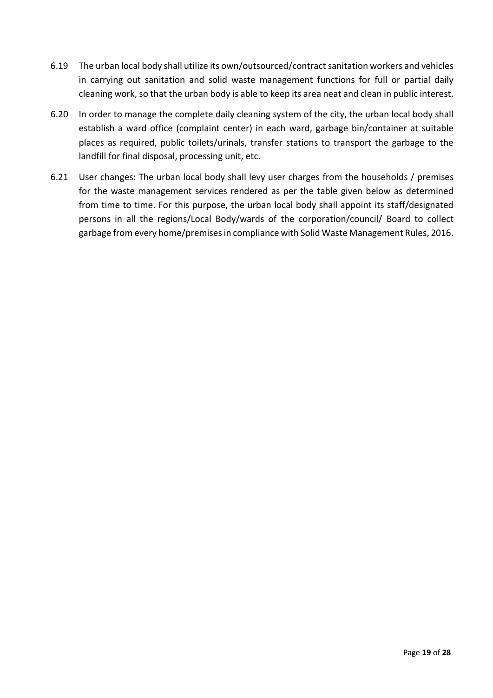- 6.19 The urban local body shall utilize its own/outsourced/contract sanitation workers and vehicles in carrying out sanitation and solid waste management functions for full or partial daily cleaning work, so that the urban body is able to keep its area neat and clean in public interest.
- 6.20 In order to manage the complete daily cleaning system of the city, the urban local body shall establish a ward office (complaint center) in each ward, garbage bin/container at suitable places as required, public toilets/urinals, transfer stations to transport the garbage to the landfill for final disposal, processing unit, etc.
- 6.21 User changes: The urban local body shall levy user charges from the households / premises for the waste management services rendered as per the table given below as determined from time to time. For this purpose, the urban local body shall appoint its staff/designated persons in all the regions/Local Body/wards of the corporation/council/ Board to collect garbage from every home/premises in compliance with Solid Waste Management Rules, 2016.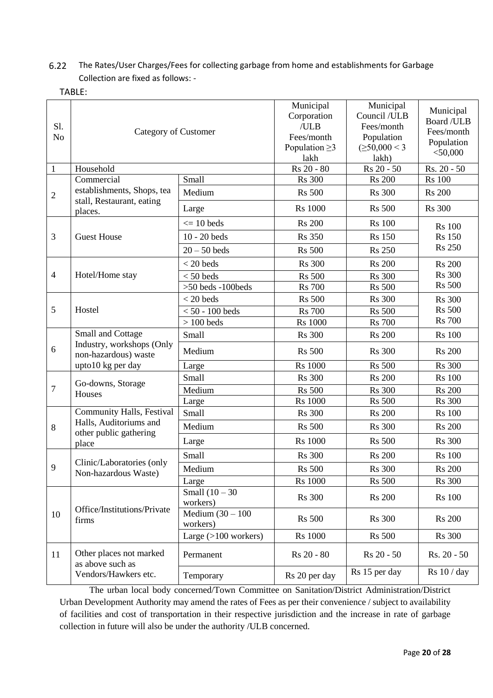## 6.22 The Rates/User Charges/Fees for collecting garbage from home and establishments for Garbage Collection are fixed as follows: -

TABLE:

| S1.<br>N <sub>o</sub> | <b>Category of Customer</b>                                                            |                                 | Municipal<br>Corporation<br>/ULB<br>Fees/month<br>Population $\geq$ 3<br>lakh | Municipal<br>Council /ULB<br>Fees/month<br>Population<br>$(\geq 50,000 < 3$<br>lakh) | Municipal<br>Board / ULB<br>Fees/month<br>Population<br>$<$ 50,000 |
|-----------------------|----------------------------------------------------------------------------------------|---------------------------------|-------------------------------------------------------------------------------|--------------------------------------------------------------------------------------|--------------------------------------------------------------------|
| $\mathbf{1}$          | Household                                                                              |                                 | Rs 20 - 80                                                                    | Rs 20 - 50                                                                           | Rs. 20 - 50                                                        |
| $\overline{2}$        | Commercial                                                                             | Small                           | <b>Rs</b> 300                                                                 | <b>Rs</b> 200                                                                        | <b>Rs</b> 100                                                      |
|                       | establishments, Shops, tea<br>stall, Restaurant, eating<br>places.                     | Medium                          | <b>Rs</b> 500                                                                 | <b>Rs</b> 300                                                                        | <b>Rs 200</b>                                                      |
|                       |                                                                                        | Large                           | <b>Rs</b> 1000                                                                | <b>Rs</b> 500                                                                        | <b>Rs</b> 300                                                      |
| 3                     | <b>Guest House</b>                                                                     | $\epsilon = 10$ beds            | <b>Rs</b> 200                                                                 | <b>Rs</b> 100                                                                        | <b>Rs</b> 100                                                      |
|                       |                                                                                        | $10 - 20$ beds                  | <b>Rs</b> 350                                                                 | <b>Rs</b> 150                                                                        | <b>Rs</b> 150                                                      |
|                       |                                                                                        | $20 - 50$ beds                  | <b>Rs</b> 500                                                                 | <b>Rs</b> 250                                                                        | <b>Rs 250</b>                                                      |
|                       | Hotel/Home stay                                                                        | $<$ 20 beds                     | <b>Rs</b> 300                                                                 | <b>Rs</b> 200                                                                        | <b>Rs 200</b>                                                      |
| $\overline{4}$        |                                                                                        | $< 50$ beds                     | <b>Rs</b> 500                                                                 | <b>Rs</b> 300                                                                        | <b>Rs</b> 300                                                      |
|                       |                                                                                        | $>50$ beds -100 beds            | <b>Rs</b> 700                                                                 | <b>Rs</b> 500                                                                        | <b>Rs 500</b>                                                      |
|                       | Hostel                                                                                 | $<$ 20 beds                     | <b>Rs</b> 500                                                                 | <b>Rs</b> 300                                                                        | <b>Rs</b> 300                                                      |
| 5                     |                                                                                        | $< 50 - 100$ beds               | <b>Rs</b> 700                                                                 | <b>Rs</b> 500                                                                        | <b>Rs 500</b>                                                      |
|                       |                                                                                        | $> 100$ beds                    | <b>Rs</b> 1000                                                                | <b>Rs</b> 700                                                                        | <b>Rs</b> 700                                                      |
| 6                     | Small and Cottage<br>Industry, workshops (Only<br>non-hazardous) waste                 | Small                           | <b>Rs</b> 300                                                                 | <b>Rs</b> 200                                                                        | <b>Rs</b> 100                                                      |
|                       |                                                                                        | Medium                          | <b>Rs</b> 500                                                                 | <b>Rs</b> 300                                                                        | <b>Rs</b> 200                                                      |
|                       | upto10 kg per day                                                                      | Large                           | <b>Rs</b> 1000                                                                | <b>Rs</b> 500                                                                        | <b>Rs</b> 300                                                      |
|                       | Go-downs, Storage<br>Houses                                                            | Small                           | <b>Rs</b> 300                                                                 | <b>Rs</b> 200                                                                        | <b>Rs</b> 100                                                      |
| $\tau$                |                                                                                        | Medium                          | <b>Rs</b> 500                                                                 | <b>Rs</b> 300                                                                        | <b>Rs</b> 200                                                      |
|                       |                                                                                        | Large                           | <b>Rs</b> 1000                                                                | <b>Rs</b> 500                                                                        | <b>Rs</b> 300                                                      |
|                       | Community Halls, Festival<br>Halls, Auditoriums and<br>other public gathering<br>place | Small                           | <b>Rs</b> 300                                                                 | <b>Rs</b> 200                                                                        | <b>Rs</b> 100                                                      |
| 8                     |                                                                                        | Medium                          | <b>Rs</b> 500                                                                 | <b>Rs</b> 300                                                                        | <b>Rs</b> 200                                                      |
|                       |                                                                                        | Large                           | <b>Rs</b> 1000                                                                | <b>Rs</b> 500                                                                        | <b>Rs</b> 300                                                      |
|                       | Clinic/Laboratories (only<br>Non-hazardous Waste)                                      | Small                           | <b>Rs</b> 300                                                                 | <b>Rs 200</b>                                                                        | <b>Rs</b> 100                                                      |
| $\mathbf Q$           |                                                                                        | Medium                          | <b>Rs</b> 500                                                                 | <b>Rs</b> 300                                                                        | <b>Rs 200</b>                                                      |
|                       |                                                                                        | Large                           | <b>Rs</b> 1000                                                                | <b>Rs</b> 500                                                                        | <b>Rs</b> 300                                                      |
| 10                    | Office/Institutions/Private<br>firms                                                   | Small $(10 - 30)$<br>workers)   | <b>Rs</b> 300                                                                 | <b>Rs</b> 200                                                                        | <b>Rs</b> 100                                                      |
|                       |                                                                                        | Medium $(30 - 100)$<br>workers) | <b>Rs</b> 500                                                                 | <b>Rs</b> 300                                                                        | <b>Rs</b> 200                                                      |
|                       |                                                                                        | Large $(>100$ workers)          | <b>Rs</b> 1000                                                                | <b>Rs</b> 500                                                                        | <b>Rs</b> 300                                                      |
| 11                    | Other places not marked<br>as above such as<br>Vendors/Hawkers etc.                    | Permanent                       | Rs 20 - 80                                                                    | Rs 20 - 50                                                                           | Rs. 20 - 50                                                        |
|                       |                                                                                        | Temporary                       | Rs 20 per day                                                                 | Rs 15 per day                                                                        | Rs 10 / day                                                        |

The urban local body concerned/Town Committee on Sanitation/District Administration/District Urban Development Authority may amend the rates of Fees as per their convenience / subject to availability of facilities and cost of transportation in their respective jurisdiction and the increase in rate of garbage collection in future will also be under the authority /ULB concerned.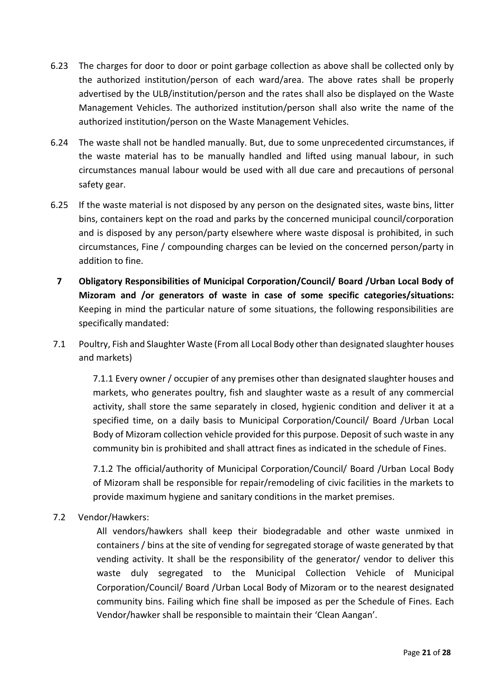- 6.23 The charges for door to door or point garbage collection as above shall be collected only by the authorized institution/person of each ward/area. The above rates shall be properly advertised by the ULB/institution/person and the rates shall also be displayed on the Waste Management Vehicles. The authorized institution/person shall also write the name of the authorized institution/person on the Waste Management Vehicles.
- 6.24 The waste shall not be handled manually. But, due to some unprecedented circumstances, if the waste material has to be manually handled and lifted using manual labour, in such circumstances manual labour would be used with all due care and precautions of personal safety gear.
- 6.25 If the waste material is not disposed by any person on the designated sites, waste bins, litter bins, containers kept on the road and parks by the concerned municipal council/corporation and is disposed by any person/party elsewhere where waste disposal is prohibited, in such circumstances, Fine / compounding charges can be levied on the concerned person/party in addition to fine.
- **7 Obligatory Responsibilities of Municipal Corporation/Council/ Board /Urban Local Body of Mizoram and /or generators of waste in case of some specific categories/situations:** Keeping in mind the particular nature of some situations, the following responsibilities are specifically mandated:
- 7.1 Poultry, Fish and Slaughter Waste (From all Local Body other than designated slaughter houses and markets)

7.1.1 Every owner / occupier of any premises other than designated slaughter houses and markets, who generates poultry, fish and slaughter waste as a result of any commercial activity, shall store the same separately in closed, hygienic condition and deliver it at a specified time, on a daily basis to Municipal Corporation/Council/ Board /Urban Local Body of Mizoram collection vehicle provided for this purpose. Deposit of such waste in any community bin is prohibited and shall attract fines as indicated in the schedule of Fines.

7.1.2 The official/authority of Municipal Corporation/Council/ Board /Urban Local Body of Mizoram shall be responsible for repair/remodeling of civic facilities in the markets to provide maximum hygiene and sanitary conditions in the market premises.

7.2 Vendor/Hawkers:

All vendors/hawkers shall keep their biodegradable and other waste unmixed in containers / bins at the site of vending for segregated storage of waste generated by that vending activity. It shall be the responsibility of the generator/ vendor to deliver this waste duly segregated to the Municipal Collection Vehicle of Municipal Corporation/Council/ Board /Urban Local Body of Mizoram or to the nearest designated community bins. Failing which fine shall be imposed as per the Schedule of Fines. Each Vendor/hawker shall be responsible to maintain their 'Clean Aangan'.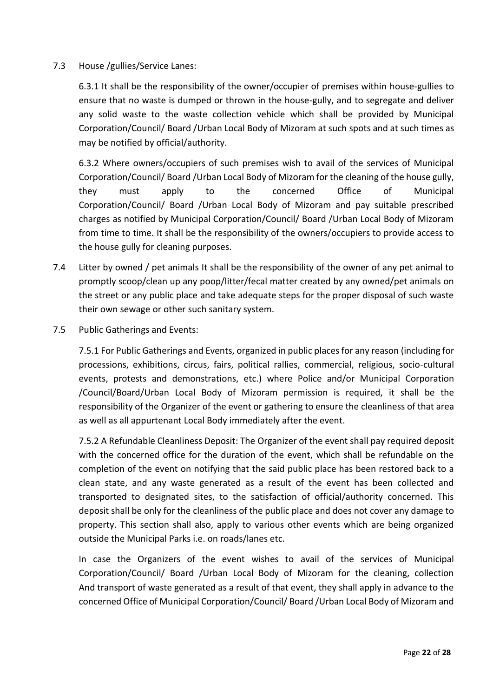#### 7.3 House /gullies/Service Lanes:

6.3.1 It shall be the responsibility of the owner/occupier of premises within house-gullies to ensure that no waste is dumped or thrown in the house-gully, and to segregate and deliver any solid waste to the waste collection vehicle which shall be provided by Municipal Corporation/Council/ Board /Urban Local Body of Mizoram at such spots and at such times as may be notified by official/authority.

6.3.2 Where owners/occupiers of such premises wish to avail of the services of Municipal Corporation/Council/ Board /Urban Local Body of Mizoram for the cleaning of the house gully, they must apply to the concerned Office of Municipal Corporation/Council/ Board /Urban Local Body of Mizoram and pay suitable prescribed charges as notified by Municipal Corporation/Council/ Board /Urban Local Body of Mizoram from time to time. It shall be the responsibility of the owners/occupiers to provide access to the house gully for cleaning purposes.

- 7.4 Litter by owned / pet animals It shall be the responsibility of the owner of any pet animal to promptly scoop/clean up any poop/litter/fecal matter created by any owned/pet animals on the street or any public place and take adequate steps for the proper disposal of such waste their own sewage or other such sanitary system.
- 7.5 Public Gatherings and Events:

7.5.1 For Public Gatherings and Events, organized in public places for any reason (including for processions, exhibitions, circus, fairs, political rallies, commercial, religious, socio-cultural events, protests and demonstrations, etc.) where Police and/or Municipal Corporation /Council/Board/Urban Local Body of Mizoram permission is required, it shall be the responsibility of the Organizer of the event or gathering to ensure the cleanliness of that area as well as all appurtenant Local Body immediately after the event.

7.5.2 A Refundable Cleanliness Deposit: The Organizer of the event shall pay required deposit with the concerned office for the duration of the event, which shall be refundable on the completion of the event on notifying that the said public place has been restored back to a clean state, and any waste generated as a result of the event has been collected and transported to designated sites, to the satisfaction of official/authority concerned. This deposit shall be only for the cleanliness of the public place and does not cover any damage to property. This section shall also, apply to various other events which are being organized outside the Municipal Parks i.e. on roads/lanes etc.

In case the Organizers of the event wishes to avail of the services of Municipal Corporation/Council/ Board /Urban Local Body of Mizoram for the cleaning, collection And transport of waste generated as a result of that event, they shall apply in advance to the concerned Office of Municipal Corporation/Council/ Board /Urban Local Body of Mizoram and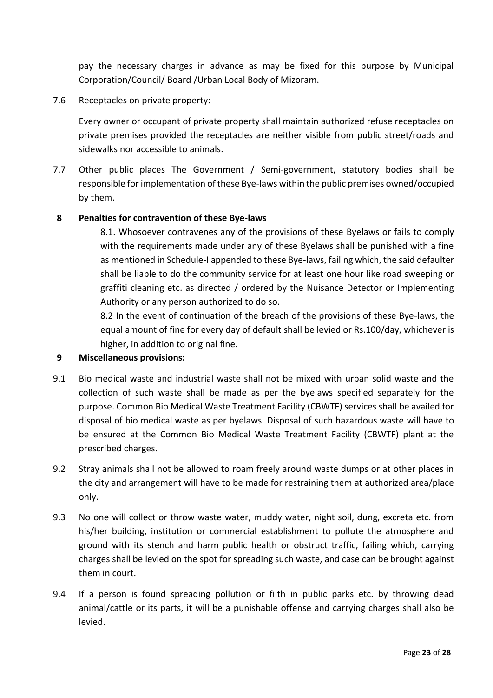pay the necessary charges in advance as may be fixed for this purpose by Municipal Corporation/Council/ Board /Urban Local Body of Mizoram.

7.6 Receptacles on private property:

Every owner or occupant of private property shall maintain authorized refuse receptacles on private premises provided the receptacles are neither visible from public street/roads and sidewalks nor accessible to animals.

7.7 Other public places The Government / Semi-government, statutory bodies shall be responsible for implementation of these Bye-laws within the public premises owned/occupied by them.

#### **8 Penalties for contravention of these Bye-laws**

8.1. Whosoever contravenes any of the provisions of these Byelaws or fails to comply with the requirements made under any of these Byelaws shall be punished with a fine as mentioned in Schedule-I appended to these Bye-laws, failing which, the said defaulter shall be liable to do the community service for at least one hour like road sweeping or graffiti cleaning etc. as directed / ordered by the Nuisance Detector or Implementing Authority or any person authorized to do so.

8.2 In the event of continuation of the breach of the provisions of these Bye-laws, the equal amount of fine for every day of default shall be levied or Rs.100/day, whichever is higher, in addition to original fine.

#### **9 Miscellaneous provisions:**

- 9.1 Bio medical waste and industrial waste shall not be mixed with urban solid waste and the collection of such waste shall be made as per the byelaws specified separately for the purpose. Common Bio Medical Waste Treatment Facility (CBWTF) services shall be availed for disposal of bio medical waste as per byelaws. Disposal of such hazardous waste will have to be ensured at the Common Bio Medical Waste Treatment Facility (CBWTF) plant at the prescribed charges.
- 9.2 Stray animals shall not be allowed to roam freely around waste dumps or at other places in the city and arrangement will have to be made for restraining them at authorized area/place only.
- 9.3 No one will collect or throw waste water, muddy water, night soil, dung, excreta etc. from his/her building, institution or commercial establishment to pollute the atmosphere and ground with its stench and harm public health or obstruct traffic, failing which, carrying charges shall be levied on the spot for spreading such waste, and case can be brought against them in court.
- 9.4 If a person is found spreading pollution or filth in public parks etc. by throwing dead animal/cattle or its parts, it will be a punishable offense and carrying charges shall also be levied.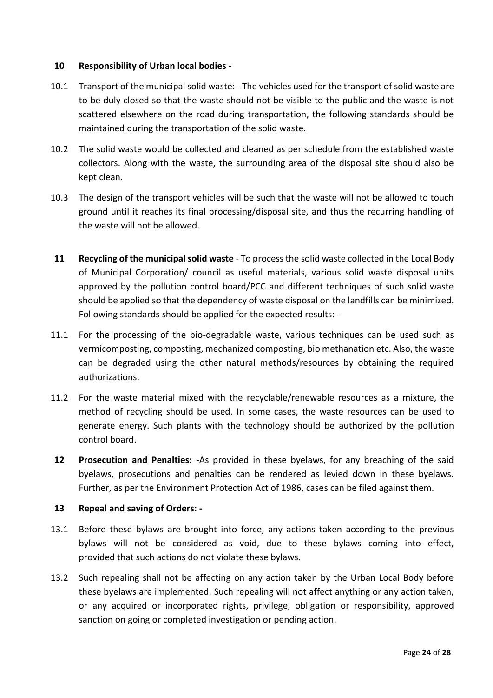#### **10 Responsibility of Urban local bodies -**

- 10.1 Transport of the municipal solid waste: The vehicles used for the transport of solid waste are to be duly closed so that the waste should not be visible to the public and the waste is not scattered elsewhere on the road during transportation, the following standards should be maintained during the transportation of the solid waste.
- 10.2 The solid waste would be collected and cleaned as per schedule from the established waste collectors. Along with the waste, the surrounding area of the disposal site should also be kept clean.
- 10.3 The design of the transport vehicles will be such that the waste will not be allowed to touch ground until it reaches its final processing/disposal site, and thus the recurring handling of the waste will not be allowed.
- **11 Recycling of the municipal solid waste** To process the solid waste collected in the Local Body of Municipal Corporation/ council as useful materials, various solid waste disposal units approved by the pollution control board/PCC and different techniques of such solid waste should be applied so that the dependency of waste disposal on the landfills can be minimized. Following standards should be applied for the expected results: -
- 11.1 For the processing of the bio-degradable waste, various techniques can be used such as vermicomposting, composting, mechanized composting, bio methanation etc. Also, the waste can be degraded using the other natural methods/resources by obtaining the required authorizations.
- 11.2 For the waste material mixed with the recyclable/renewable resources as a mixture, the method of recycling should be used. In some cases, the waste resources can be used to generate energy. Such plants with the technology should be authorized by the pollution control board.
- **12 Prosecution and Penalties:** -As provided in these byelaws, for any breaching of the said byelaws, prosecutions and penalties can be rendered as levied down in these byelaws. Further, as per the Environment Protection Act of 1986, cases can be filed against them.

#### **13 Repeal and saving of Orders: -**

- 13.1 Before these bylaws are brought into force, any actions taken according to the previous bylaws will not be considered as void, due to these bylaws coming into effect, provided that such actions do not violate these bylaws.
- 13.2 Such repealing shall not be affecting on any action taken by the Urban Local Body before these byelaws are implemented. Such repealing will not affect anything or any action taken, or any acquired or incorporated rights, privilege, obligation or responsibility, approved sanction on going or completed investigation or pending action.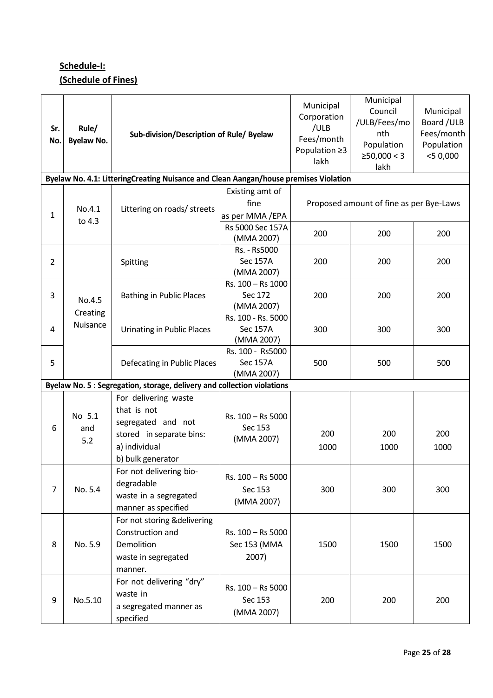# **Schedule-I: (Schedule of Fines)**

| Sr.<br>No.     | Rule/<br><b>Byelaw No.</b>                                              | Sub-division/Description of Rule/ Byelaw                                                                                    |                                              | Municipal<br>Corporation<br>/ULB<br>Fees/month<br>Population ≥3<br>lakh | Municipal<br>Council<br>/ULB/Fees/mo<br>nth<br>Population<br>≥50,000 < 3<br>lakh | Municipal<br>Board / ULB<br>Fees/month<br>Population<br>$<$ 50,000 |
|----------------|-------------------------------------------------------------------------|-----------------------------------------------------------------------------------------------------------------------------|----------------------------------------------|-------------------------------------------------------------------------|----------------------------------------------------------------------------------|--------------------------------------------------------------------|
|                |                                                                         | Byelaw No. 4.1: LitteringCreating Nuisance and Clean Aangan/house premises Violation                                        |                                              |                                                                         |                                                                                  |                                                                    |
| 1              | No.4.1<br>to 4.3                                                        | Littering on roads/ streets                                                                                                 | Existing amt of<br>fine<br>as per MMA/EPA    | Proposed amount of fine as per Bye-Laws                                 |                                                                                  |                                                                    |
|                |                                                                         |                                                                                                                             | Rs 5000 Sec 157A<br>(MMA 2007)               | 200                                                                     | 200                                                                              | 200                                                                |
| $\overline{2}$ |                                                                         | Spitting                                                                                                                    | Rs. - Rs5000<br>Sec 157A<br>(MMA 2007)       | 200                                                                     | 200                                                                              | 200                                                                |
| 3              | No.4.5<br>Creating                                                      | <b>Bathing in Public Places</b>                                                                                             | Rs. 100 - Rs 1000<br>Sec 172<br>(MMA 2007)   | 200                                                                     | 200                                                                              | 200                                                                |
| 4              | Nuisance                                                                | <b>Urinating in Public Places</b>                                                                                           | Rs. 100 - Rs. 5000<br>Sec 157A<br>(MMA 2007) | 300                                                                     | 300                                                                              | 300                                                                |
| 5              |                                                                         | Defecating in Public Places                                                                                                 | Rs. 100 - Rs5000<br>Sec 157A<br>(MMA 2007)   | 500                                                                     | 500                                                                              | 500                                                                |
|                | Byelaw No. 5 : Segregation, storage, delivery and collection violations |                                                                                                                             |                                              |                                                                         |                                                                                  |                                                                    |
| 6              | No 5.1<br>and<br>5.2                                                    | For delivering waste<br>that is not<br>segregated and not<br>stored in separate bins:<br>a) individual<br>b) bulk generator | Rs. 100 - Rs 5000<br>Sec 153<br>(MMA 2007)   | 200<br>1000                                                             | 200<br>1000                                                                      | 200<br>1000                                                        |
| $\overline{7}$ | No. 5.4                                                                 | For not delivering bio-<br>degradable<br>waste in a segregated<br>manner as specified                                       | Rs. 100 - Rs 5000<br>Sec 153<br>(MMA 2007)   | 300                                                                     | 300                                                                              | 300                                                                |
| 8              | No. 5.9                                                                 | For not storing & delivering<br>Construction and<br>Demolition<br>waste in segregated<br>manner.                            | Rs. 100 - Rs 5000<br>Sec 153 (MMA<br>2007)   | 1500                                                                    | 1500                                                                             | 1500                                                               |
| 9              | No.5.10                                                                 | For not delivering "dry"<br>waste in<br>a segregated manner as<br>specified                                                 | Rs. 100 - Rs 5000<br>Sec 153<br>(MMA 2007)   | 200                                                                     | 200                                                                              | 200                                                                |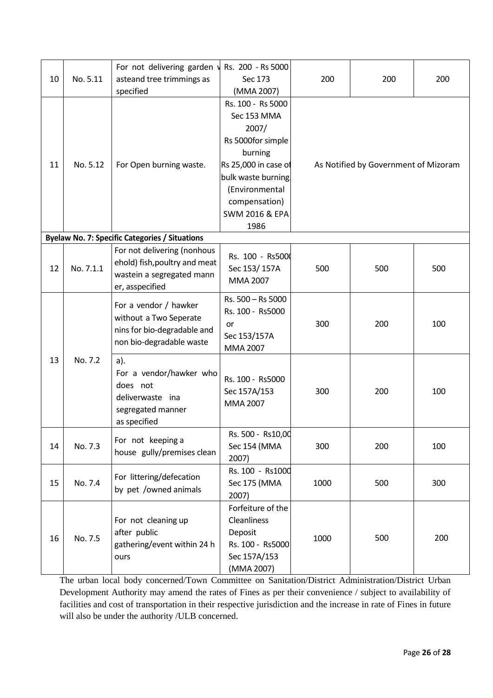|    | No. 5.11  | For not delivering garden v                                                                                | Rs. 200 - Rs 5000          |             |                                      |     |  |
|----|-----------|------------------------------------------------------------------------------------------------------------|----------------------------|-------------|--------------------------------------|-----|--|
| 10 |           | asteand tree trimmings as                                                                                  | Sec 173                    | 200<br>200  | 200                                  |     |  |
|    |           | specified                                                                                                  | (MMA 2007)                 |             |                                      |     |  |
|    | No. 5.12  | For Open burning waste.                                                                                    | Rs. 100 - Rs 5000          |             |                                      |     |  |
| 11 |           |                                                                                                            | Sec 153 MMA                |             |                                      |     |  |
|    |           |                                                                                                            | 2007/                      |             |                                      |     |  |
|    |           |                                                                                                            | Rs 5000for simple          |             | As Notified by Government of Mizoram |     |  |
|    |           |                                                                                                            | burning                    |             |                                      |     |  |
|    |           |                                                                                                            | Rs 25,000 in case of       |             |                                      |     |  |
|    |           |                                                                                                            | bulk waste burning         |             |                                      |     |  |
|    |           |                                                                                                            | (Environmental             |             |                                      |     |  |
|    |           |                                                                                                            | compensation)              |             |                                      |     |  |
|    |           |                                                                                                            | SWM 2016 & EPA             |             |                                      |     |  |
|    |           |                                                                                                            | 1986                       |             |                                      |     |  |
|    |           | <b>Byelaw No. 7: Specific Categories / Situations</b>                                                      |                            |             |                                      |     |  |
|    |           | For not delivering (nonhous<br>ehold) fish, poultry and meat                                               | Rs. 100 - Rs5000           |             | 500                                  | 500 |  |
| 12 | No. 7.1.1 | wastein a segregated mann                                                                                  | Sec 153/157A               | 500         |                                      |     |  |
|    |           | er, asspecified                                                                                            | MMA 2007                   |             |                                      |     |  |
|    |           |                                                                                                            | Rs. 500 - Rs 5000          |             |                                      |     |  |
|    | No. 7.2   | For a vendor / hawker<br>without a Two Seperate<br>nins for bio-degradable and<br>non bio-degradable waste | Rs. 100 - Rs5000           |             |                                      |     |  |
|    |           |                                                                                                            | or                         | 300         | 200                                  | 100 |  |
|    |           |                                                                                                            | Sec 153/157A               |             |                                      |     |  |
|    |           |                                                                                                            | MMA 2007                   |             |                                      |     |  |
| 13 |           | a).                                                                                                        |                            |             |                                      |     |  |
|    |           | For a vendor/hawker who                                                                                    | Rs. 100 - Rs5000           |             |                                      |     |  |
|    |           | does not                                                                                                   | Sec 157A/153               | 300         | 200                                  | 100 |  |
|    |           | deliverwaste ina                                                                                           | MMA 2007                   |             |                                      |     |  |
|    |           | segregated manner                                                                                          |                            |             |                                      |     |  |
|    |           | as specified                                                                                               |                            |             |                                      |     |  |
|    | No. 7.3   | For not keeping a<br>house gully/premises clean                                                            | Rs. 500 - Rs10,00          | 300         | 200                                  | 100 |  |
| 14 |           |                                                                                                            | Sec 154 (MMA               |             |                                      |     |  |
|    |           |                                                                                                            | 2007)                      |             |                                      |     |  |
| 15 | No. 7.4   | For littering/defecation<br>by pet /owned animals                                                          | Rs. 100 - Rs1000           |             |                                      |     |  |
|    |           |                                                                                                            | Sec 175 (MMA               | 1000        | 500                                  | 300 |  |
| 16 | No. 7.5   | For not cleaning up<br>after public                                                                        | 2007)<br>Forfeiture of the | 500<br>1000 |                                      | 200 |  |
|    |           |                                                                                                            | Cleanliness                |             |                                      |     |  |
|    |           |                                                                                                            | Deposit                    |             |                                      |     |  |
|    |           | gathering/event within 24 h                                                                                | Rs. 100 - Rs5000           |             |                                      |     |  |
|    |           | ours                                                                                                       | Sec 157A/153               |             |                                      |     |  |
|    |           |                                                                                                            | (MMA 2007)                 |             |                                      |     |  |

The urban local body concerned/Town Committee on Sanitation/District Administration/District Urban Development Authority may amend the rates of Fines as per their convenience / subject to availability of facilities and cost of transportation in their respective jurisdiction and the increase in rate of Fines in future will also be under the authority /ULB concerned.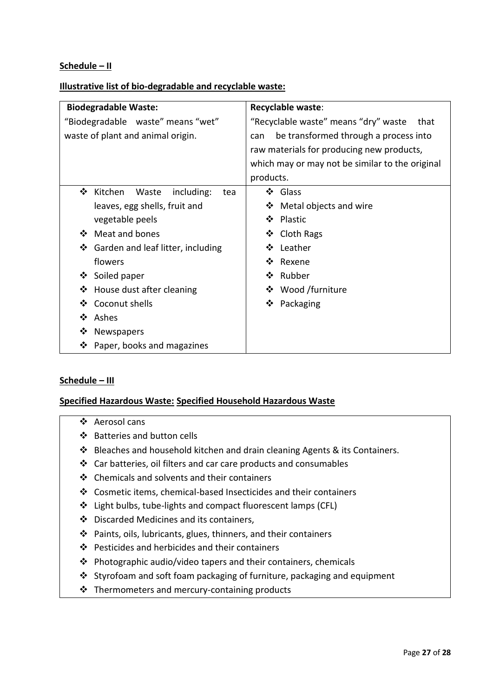#### **Schedule – II**

#### **Illustrative list of bio-degradable and recyclable waste:**

| <b>Biodegradable Waste:</b>                | Recyclable waste:                               |  |  |  |
|--------------------------------------------|-------------------------------------------------|--|--|--|
| "Biodegradable waste" means "wet"          | "Recyclable waste" means "dry" waste<br>that    |  |  |  |
| waste of plant and animal origin.          | be transformed through a process into<br>can    |  |  |  |
|                                            | raw materials for producing new products,       |  |  |  |
|                                            | which may or may not be similar to the original |  |  |  |
|                                            | products.                                       |  |  |  |
| Kitchen<br>❖<br>Waste<br>including:<br>tea | ❖ Glass                                         |  |  |  |
| leaves, egg shells, fruit and              | Metal objects and wire<br>❖                     |  |  |  |
| vegetable peels                            | Plastic<br>$\mathbf{A}$                         |  |  |  |
| Meat and bones<br>❖                        | ❖ Cloth Rags                                    |  |  |  |
| Garden and leaf litter, including<br>❖     | Leather<br>∙≫                                   |  |  |  |
| flowers                                    | Rexene<br>❖                                     |  |  |  |
| ❖ Soiled paper                             | ❖ Rubber                                        |  |  |  |
| House dust after cleaning<br>❖             | ❖ Wood /furniture                               |  |  |  |
| Coconut shells<br>❖                        | ❖ Packaging                                     |  |  |  |
| ❖<br>Ashes                                 |                                                 |  |  |  |
| ❖<br>Newspapers                            |                                                 |  |  |  |
| Paper, books and magazines<br>❖            |                                                 |  |  |  |

#### **Schedule – III**

#### **Specified Hazardous Waste: Specified Household Hazardous Waste**

#### ❖ Aerosol cans

- ❖ Batteries and button cells
- ❖ Bleaches and household kitchen and drain cleaning Agents & its Containers.
- ❖ Car batteries, oil filters and car care products and consumables
- ❖ Chemicals and solvents and their containers
- ❖ Cosmetic items, chemical-based Insecticides and their containers
- ❖ Light bulbs, tube-lights and compact fluorescent lamps (CFL)
- ❖ Discarded Medicines and its containers,
- ❖ Paints, oils, lubricants, glues, thinners, and their containers
- ❖ Pesticides and herbicides and their containers
- ❖ Photographic audio/video tapers and their containers, chemicals
- ❖ Styrofoam and soft foam packaging of furniture, packaging and equipment
- ❖ Thermometers and mercury-containing products